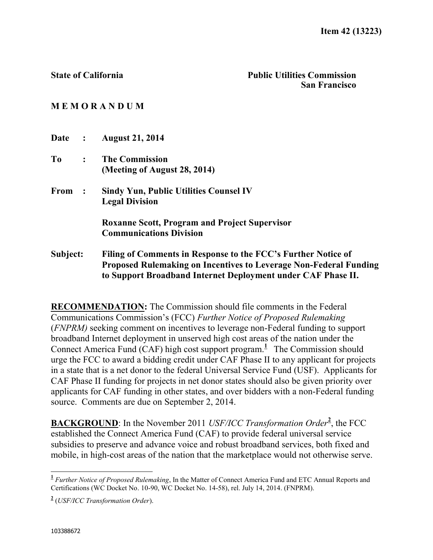## **M E M O R A N D U M**

| Date :   |                      | <b>August 21, 2014</b>                                                   |
|----------|----------------------|--------------------------------------------------------------------------|
| To       | $\ddot{\cdot}$       | <b>The Commission</b>                                                    |
|          |                      | (Meeting of August 28, 2014)                                             |
| From     | $\ddot{\phantom{1}}$ | <b>Sindy Yun, Public Utilities Counsel IV</b>                            |
|          |                      | <b>Legal Division</b>                                                    |
|          |                      | <b>Roxanne Scott, Program and Project Supervisor</b>                     |
|          |                      | <b>Communications Division</b>                                           |
| Subject: |                      | Filing of Comments in Response to the FCC's Further Notice of            |
|          |                      | <b>Proposed Rulemaking on Incentives to Leverage Non-Federal Funding</b> |

**RECOMMENDATION:** The Commission should file comments in the Federal Communications Commission's (FCC) *Further Notice of Proposed Rulemaking* (*FNPRM)* seeking comment on incentives to leverage non-Federal funding to support broadband Internet deployment in unserved high cost areas of the nation under the Connect America Fund (CAF) high cost support program.<sup>1</sup> The Commission should urge the FCC to award a bidding credit under CAF Phase II to any applicant for projects in a state that is a net donor to the federal Universal Service Fund (USF). Applicants for CAF Phase II funding for projects in net donor states should also be given priority over applicants for CAF funding in other states, and over bidders with a non-Federal funding source. Comments are due on September 2, 2014.

**to Support Broadband Internet Deployment under CAF Phase II.**

**BACKGROUND**: In the November 2011 *USF/ICC Transformation Order***<sup>2</sup>** , the FCC established the Connect America Fund (CAF) to provide federal universal service subsidies to preserve and advance voice and robust broadband services, both fixed and mobile, in high-cost areas of the nation that the marketplace would not otherwise serve.

 $\overline{a}$ 

**<sup>1</sup>** *Further Notice of Proposed Rulemaking*, In the Matter of Connect America Fund and ETC Annual Reports and Certifications (WC Docket No. 10-90, WC Docket No. 14-58), rel. July 14, 2014. (FNPRM).

**<sup>2</sup>** (*USF/ICC Transformation Order*).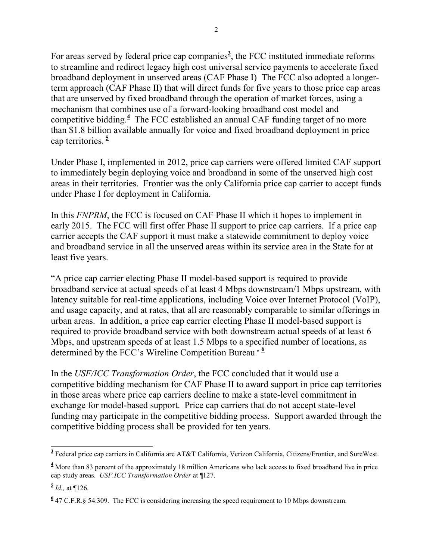For areas served by federal price cap companies<sup>3</sup>, the FCC instituted immediate reforms to streamline and redirect legacy high cost universal service payments to accelerate fixed broadband deployment in unserved areas (CAF Phase I) The FCC also adopted a longerterm approach (CAF Phase II) that will direct funds for five years to those price cap areas that are unserved by fixed broadband through the operation of market forces, using a mechanism that combines use of a forward-looking broadband cost model and competitive bidding.**<sup>4</sup>** The FCC established an annual CAF funding target of no more than \$1.8 billion available annually for voice and fixed broadband deployment in price cap territories. **5**

Under Phase I, implemented in 2012, price cap carriers were offered limited CAF support to immediately begin deploying voice and broadband in some of the unserved high cost areas in their territories. Frontier was the only California price cap carrier to accept funds under Phase I for deployment in California.

In this *FNPRM*, the FCC is focused on CAF Phase II which it hopes to implement in early 2015. The FCC will first offer Phase II support to price cap carriers. If a price cap carrier accepts the CAF support it must make a statewide commitment to deploy voice and broadband service in all the unserved areas within its service area in the State for at least five years.

"A price cap carrier electing Phase II model-based support is required to provide broadband service at actual speeds of at least 4 Mbps downstream/1 Mbps upstream, with latency suitable for real-time applications, including Voice over Internet Protocol (VoIP), and usage capacity, and at rates, that all are reasonably comparable to similar offerings in urban areas. In addition, a price cap carrier electing Phase II model-based support is required to provide broadband service with both downstream actual speeds of at least 6 Mbps, and upstream speeds of at least 1.5 Mbps to a specified number of locations, as determined by the FCC's Wireline Competition Bureau." **<sup>6</sup>**

In the *USF/ICC Transformation Order*, the FCC concluded that it would use a competitive bidding mechanism for CAF Phase II to award support in price cap territories in those areas where price cap carriers decline to make a state-level commitment in exchange for model-based support. Price cap carriers that do not accept state-level funding may participate in the competitive bidding process. Support awarded through the competitive bidding process shall be provided for ten years.

 **3** Federal price cap carriers in California are AT&T California, Verizon California, Citizens/Frontier, and SureWest.

**<sup>4</sup>** More than 83 percent of the approximately 18 million Americans who lack access to fixed broadband live in price cap study areas. *USF.ICC Transformation Order* at ¶127.

**<sup>5</sup>** *Id.,* at ¶126.

**<sup>6</sup>** 47 C.F.R.§ 54.309. The FCC is considering increasing the speed requirement to 10 Mbps downstream.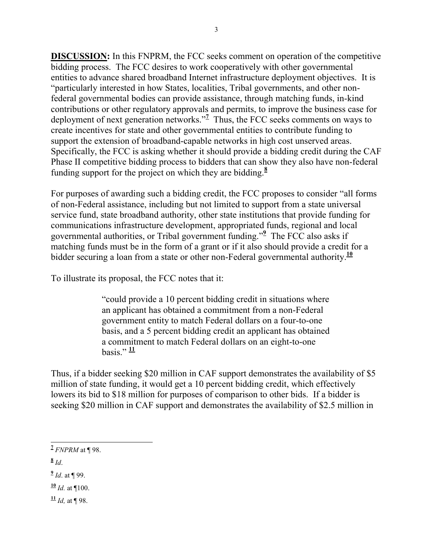**DISCUSSION:** In this FNPRM, the FCC seeks comment on operation of the competitive bidding process. The FCC desires to work cooperatively with other governmental entities to advance shared broadband Internet infrastructure deployment objectives. It is "particularly interested in how States, localities, Tribal governments, and other nonfederal governmental bodies can provide assistance, through matching funds, in-kind contributions or other regulatory approvals and permits, to improve the business case for deployment of next generation networks."**<sup>7</sup>** Thus, the FCC seeks comments on ways to create incentives for state and other governmental entities to contribute funding to support the extension of broadband-capable networks in high cost unserved areas. Specifically, the FCC is asking whether it should provide a bidding credit during the CAF Phase II competitive bidding process to bidders that can show they also have non-federal funding support for the project on which they are bidding.**<sup>8</sup>**

For purposes of awarding such a bidding credit, the FCC proposes to consider "all forms of non-Federal assistance, including but not limited to support from a state universal service fund, state broadband authority, other state institutions that provide funding for communications infrastructure development, appropriated funds, regional and local governmental authorities, or Tribal government funding." **9** The FCC also asks if matching funds must be in the form of a grant or if it also should provide a credit for a bidder securing a loan from a state or other non-Federal governmental authority.<sup>10</sup>

To illustrate its proposal, the FCC notes that it:

"could provide a 10 percent bidding credit in situations where an applicant has obtained a commitment from a non-Federal government entity to match Federal dollars on a four-to-one basis, and a 5 percent bidding credit an applicant has obtained a commitment to match Federal dollars on an eight-to-one basis." **11**

Thus, if a bidder seeking \$20 million in CAF support demonstrates the availability of \$5 million of state funding, it would get a 10 percent bidding credit, which effectively lowers its bid to \$18 million for purposes of comparison to other bids. If a bidder is seeking \$20 million in CAF support and demonstrates the availability of \$2.5 million in

**8** *Id*.

**9** *Id*. at ¶ 99.

 $\frac{10}{10}$  *Id.* at ¶100.

 $\frac{11}{10}$  *Id.* at **[98.**]

 **7** *FNPRM* at ¶ 98.